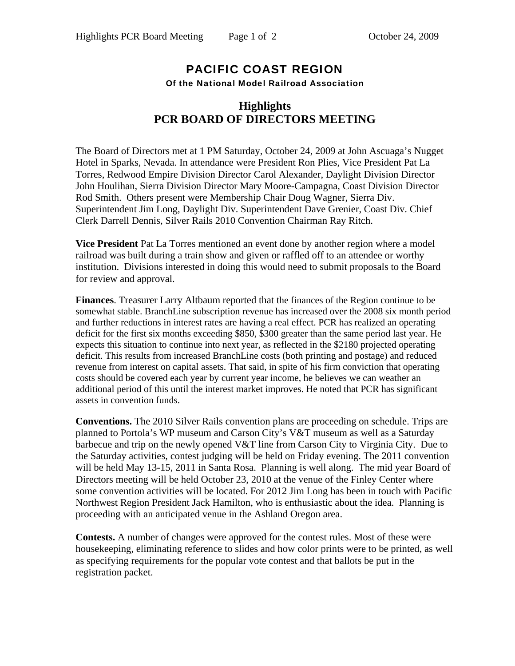## PACIFIC COAST REGION Of the National Model Railroad Association

## **Highlights PCR BOARD OF DIRECTORS MEETING**

The Board of Directors met at 1 PM Saturday, October 24, 2009 at John Ascuaga's Nugget Hotel in Sparks, Nevada. In attendance were President Ron Plies, Vice President Pat La Torres, Redwood Empire Division Director Carol Alexander, Daylight Division Director John Houlihan, Sierra Division Director Mary Moore-Campagna, Coast Division Director Rod Smith. Others present were Membership Chair Doug Wagner, Sierra Div. Superintendent Jim Long, Daylight Div. Superintendent Dave Grenier, Coast Div. Chief Clerk Darrell Dennis, Silver Rails 2010 Convention Chairman Ray Ritch.

**Vice President** Pat La Torres mentioned an event done by another region where a model railroad was built during a train show and given or raffled off to an attendee or worthy institution. Divisions interested in doing this would need to submit proposals to the Board for review and approval.

**Finances**. Treasurer Larry Altbaum reported that the finances of the Region continue to be somewhat stable. BranchLine subscription revenue has increased over the 2008 six month period and further reductions in interest rates are having a real effect. PCR has realized an operating deficit for the first six months exceeding \$850, \$300 greater than the same period last year. He expects this situation to continue into next year, as reflected in the \$2180 projected operating deficit. This results from increased BranchLine costs (both printing and postage) and reduced revenue from interest on capital assets. That said, in spite of his firm conviction that operating costs should be covered each year by current year income, he believes we can weather an additional period of this until the interest market improves. He noted that PCR has significant assets in convention funds.

**Conventions.** The 2010 Silver Rails convention plans are proceeding on schedule. Trips are planned to Portola's WP museum and Carson City's V&T museum as well as a Saturday barbecue and trip on the newly opened V&T line from Carson City to Virginia City. Due to the Saturday activities, contest judging will be held on Friday evening. The 2011 convention will be held May 13-15, 2011 in Santa Rosa. Planning is well along. The mid year Board of Directors meeting will be held October 23, 2010 at the venue of the Finley Center where some convention activities will be located. For 2012 Jim Long has been in touch with Pacific Northwest Region President Jack Hamilton, who is enthusiastic about the idea. Planning is proceeding with an anticipated venue in the Ashland Oregon area.

**Contests.** A number of changes were approved for the contest rules. Most of these were housekeeping, eliminating reference to slides and how color prints were to be printed, as well as specifying requirements for the popular vote contest and that ballots be put in the registration packet.